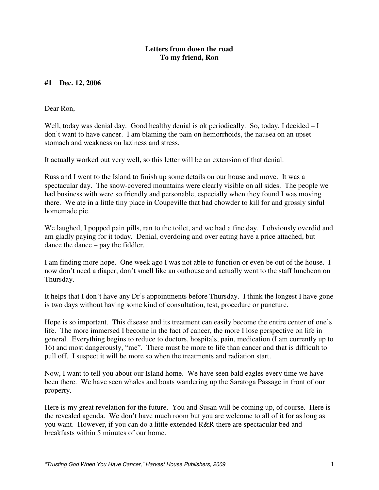# **#1 Dec. 12, 2006**

Dear Ron,

Well, today was denial day. Good healthy denial is ok periodically. So, today, I decided  $-I$ don't want to have cancer. I am blaming the pain on hemorrhoids, the nausea on an upset stomach and weakness on laziness and stress.

It actually worked out very well, so this letter will be an extension of that denial.

Russ and I went to the Island to finish up some details on our house and move. It was a spectacular day. The snow-covered mountains were clearly visible on all sides. The people we had business with were so friendly and personable, especially when they found I was moving there. We ate in a little tiny place in Coupeville that had chowder to kill for and grossly sinful homemade pie.

We laughed, I popped pain pills, ran to the toilet, and we had a fine day. I obviously overdid and am gladly paying for it today. Denial, overdoing and over eating have a price attached, but dance the dance – pay the fiddler.

I am finding more hope. One week ago I was not able to function or even be out of the house. I now don't need a diaper, don't smell like an outhouse and actually went to the staff luncheon on Thursday.

It helps that I don't have any Dr's appointments before Thursday. I think the longest I have gone is two days without having some kind of consultation, test, procedure or puncture.

Hope is so important. This disease and its treatment can easily become the entire center of one's life. The more immersed I become in the fact of cancer, the more I lose perspective on life in general. Everything begins to reduce to doctors, hospitals, pain, medication (I am currently up to 16) and most dangerously, "me". There must be more to life than cancer and that is difficult to pull off. I suspect it will be more so when the treatments and radiation start.

Now, I want to tell you about our Island home. We have seen bald eagles every time we have been there. We have seen whales and boats wandering up the Saratoga Passage in front of our property.

Here is my great revelation for the future. You and Susan will be coming up, of course. Here is the revealed agenda. We don't have much room but you are welcome to all of it for as long as you want. However, if you can do a little extended R&R there are spectacular bed and breakfasts within 5 minutes of our home.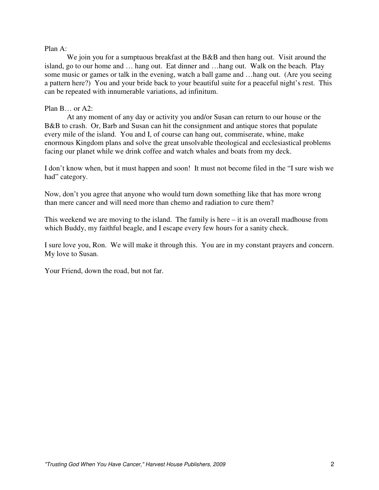#### Plan A:

We join you for a sumptuous breakfast at the B&B and then hang out. Visit around the island, go to our home and … hang out. Eat dinner and …hang out. Walk on the beach. Play some music or games or talk in the evening, watch a ball game and …hang out. (Are you seeing a pattern here?) You and your bride back to your beautiful suite for a peaceful night's rest. This can be repeated with innumerable variations, ad infinitum.

#### Plan B… or A2:

 At any moment of any day or activity you and/or Susan can return to our house or the B&B to crash. Or, Barb and Susan can hit the consignment and antique stores that populate every mile of the island. You and I, of course can hang out, commiserate, whine, make enormous Kingdom plans and solve the great unsolvable theological and ecclesiastical problems facing our planet while we drink coffee and watch whales and boats from my deck.

I don't know when, but it must happen and soon! It must not become filed in the "I sure wish we had" category.

Now, don't you agree that anyone who would turn down something like that has more wrong than mere cancer and will need more than chemo and radiation to cure them?

This weekend we are moving to the island. The family is here  $-$  it is an overall madhouse from which Buddy, my faithful beagle, and I escape every few hours for a sanity check.

I sure love you, Ron. We will make it through this. You are in my constant prayers and concern. My love to Susan.

Your Friend, down the road, but not far.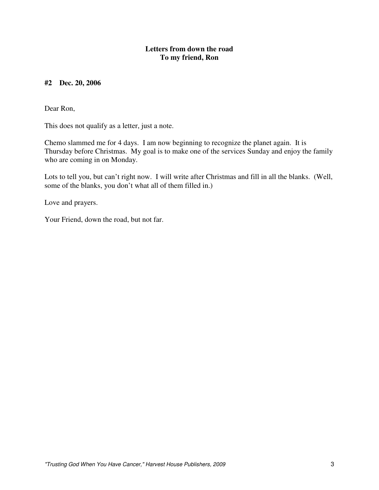# **#2 Dec. 20, 2006**

Dear Ron,

This does not qualify as a letter, just a note.

Chemo slammed me for 4 days. I am now beginning to recognize the planet again. It is Thursday before Christmas. My goal is to make one of the services Sunday and enjoy the family who are coming in on Monday.

Lots to tell you, but can't right now. I will write after Christmas and fill in all the blanks. (Well, some of the blanks, you don't what all of them filled in.)

Love and prayers.

Your Friend, down the road, but not far.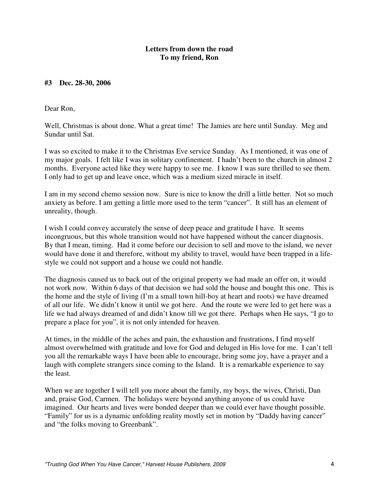# **#3 Dec. 28-30, 2006**

Dear Ron,

Well, Christmas is about done. What a great time! The Jamies are here until Sunday. Meg and Sundar until Sat.

I was so excited to make it to the Christmas Eve service Sunday. As I mentioned, it was one of my major goals. I felt like I was in solitary confinement. I hadn't been to the church in almost 2 months. Everyone acted like they were happy to see me. I know I was sure thrilled to see them. I only had to get up and leave once, which was a medium sized miracle in itself.

I am in my second chemo session now. Sure is nice to know the drill a little better. Not so much anxiety as before. I am getting a little more used to the term "cancer". It still has an element of unreality, though.

I wish I could convey accurately the sense of deep peace and gratitude I have. It seems incongruous, but this whole transition would not have happened without the cancer diagnosis. By that I mean, timing. Had it come before our decision to sell and move to the island, we never would have done it and therefore, without my ability to travel, would have been trapped in a lifestyle we could not support and a house we could not handle.

The diagnosis caused us to back out of the original property we had made an offer on, it would not work now. Within 6 days of that decision we had sold the house and bought this one. This is the home and the style of living (I'm a small town hill-boy at heart and roots) we have dreamed of all our life. We didn't know it until we got here. And the route we were led to get here was a life we had always dreamed of and didn't know till we got there. Perhaps when He says, "I go to prepare a place for you", it is not only intended for heaven.

At times, in the middle of the aches and pain, the exhaustion and frustrations, I find myself almost overwhelmed with gratitude and love for God and deluged in His love for me. I can't tell you all the remarkable ways I have been able to encourage, bring some joy, have a prayer and a laugh with complete strangers since coming to the Island. It is a remarkable experience to say the least.

When we are together I will tell you more about the family, my boys, the wives, Christi, Dan and, praise God, Carmen. The holidays were beyond anything anyone of us could have imagined. Our hearts and lives were bonded deeper than we could ever have thought possible. "Family" for us is a dynamic unfolding reality mostly set in motion by "Daddy having cancer" and "the folks moving to Greenbank".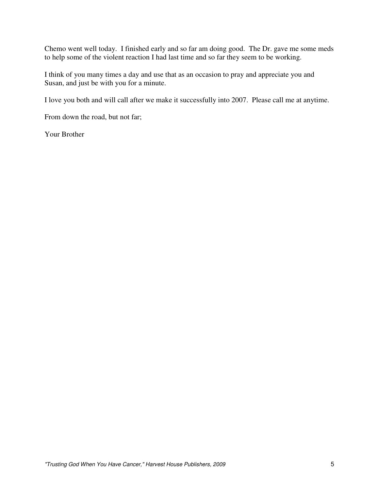Chemo went well today. I finished early and so far am doing good. The Dr. gave me some meds to help some of the violent reaction I had last time and so far they seem to be working.

I think of you many times a day and use that as an occasion to pray and appreciate you and Susan, and just be with you for a minute.

I love you both and will call after we make it successfully into 2007. Please call me at anytime.

From down the road, but not far;

Your Brother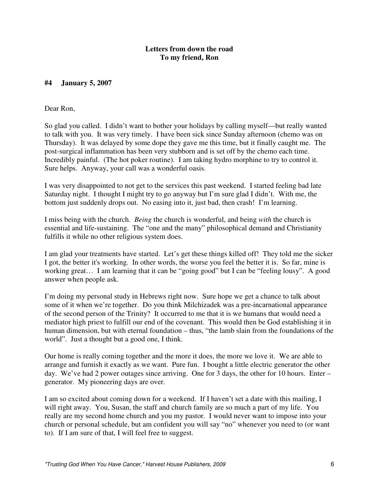# **#4 January 5, 2007**

Dear Ron,

So glad you called. I didn't want to bother your holidays by calling myself—but really wanted to talk with you. It was very timely. I have been sick since Sunday afternoon (chemo was on Thursday). It was delayed by some dope they gave me this time, but it finally caught me. The post-surgical inflammation has been very stubborn and is set off by the chemo each time. Incredibly painful. (The hot poker routine). I am taking hydro morphine to try to control it. Sure helps. Anyway, your call was a wonderful oasis.

I was very disappointed to not get to the services this past weekend. I started feeling bad late Saturday night. I thought I might try to go anyway but I'm sure glad I didn't. With me, the bottom just suddenly drops out. No easing into it, just bad, then crash! I'm learning.

I miss being with the church. *Being* the church is wonderful, and being *with* the church is essential and life-sustaining. The "one and the many" philosophical demand and Christianity fulfills it while no other religious system does.

I am glad your treatments have started. Let's get these things killed off! They told me the sicker I got, the better it's working. In other words, the worse you feel the better it is. So far, mine is working great… I am learning that it can be "going good" but I can be "feeling lousy". A good answer when people ask.

I'm doing my personal study in Hebrews right now. Sure hope we get a chance to talk about some of it when we're together. Do you think Milchizadek was a pre-incarnational appearance of the second person of the Trinity? It occurred to me that it is we humans that would need a mediator high priest to fulfill our end of the covenant. This would then be God establishing it in human dimension, but with eternal foundation – thus, "the lamb slain from the foundations of the world". Just a thought but a good one, I think.

Our home is really coming together and the more it does, the more we love it. We are able to arrange and furnish it exactly as we want. Pure fun. I bought a little electric generator the other day. We've had 2 power outages since arriving. One for 3 days, the other for 10 hours. Enter – generator. My pioneering days are over.

I am so excited about coming down for a weekend. If I haven't set a date with this mailing, I will right away. You, Susan, the staff and church family are so much a part of my life. You really are my second home church and you my pastor. I would never want to impose into your church or personal schedule, but am confident you will say "no" whenever you need to (or want to). If I am sure of that, I will feel free to suggest.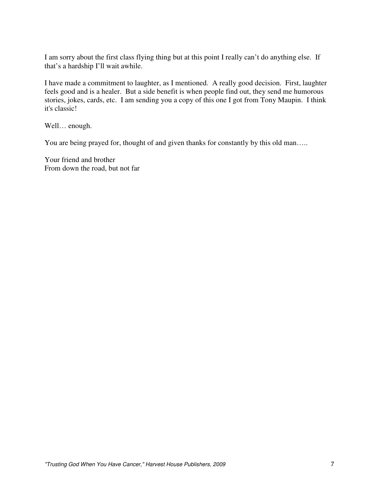I am sorry about the first class flying thing but at this point I really can't do anything else. If that's a hardship I'll wait awhile.

I have made a commitment to laughter, as I mentioned. A really good decision. First, laughter feels good and is a healer. But a side benefit is when people find out, they send me humorous stories, jokes, cards, etc. I am sending you a copy of this one I got from Tony Maupin. I think it's classic!

Well… enough.

You are being prayed for, thought of and given thanks for constantly by this old man.....

Your friend and brother From down the road, but not far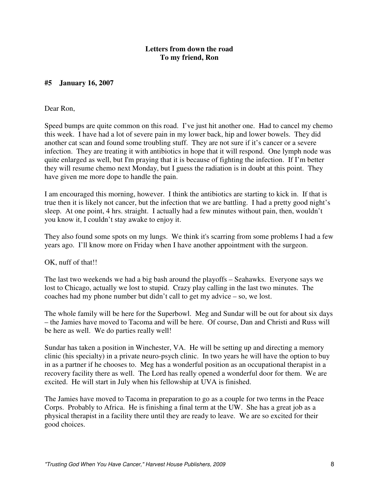# **#5 January 16, 2007**

#### Dear Ron,

Speed bumps are quite common on this road. I've just hit another one. Had to cancel my chemo this week. I have had a lot of severe pain in my lower back, hip and lower bowels. They did another cat scan and found some troubling stuff. They are not sure if it's cancer or a severe infection. They are treating it with antibiotics in hope that it will respond. One lymph node was quite enlarged as well, but I'm praying that it is because of fighting the infection. If I'm better they will resume chemo next Monday, but I guess the radiation is in doubt at this point. They have given me more dope to handle the pain.

I am encouraged this morning, however. I think the antibiotics are starting to kick in. If that is true then it is likely not cancer, but the infection that we are battling. I had a pretty good night's sleep. At one point, 4 hrs. straight. I actually had a few minutes without pain, then, wouldn't you know it, I couldn't stay awake to enjoy it.

They also found some spots on my lungs. We think it's scarring from some problems I had a few years ago. I'll know more on Friday when I have another appointment with the surgeon.

OK, nuff of that!!

The last two weekends we had a big bash around the playoffs – Seahawks. Everyone says we lost to Chicago, actually we lost to stupid. Crazy play calling in the last two minutes. The coaches had my phone number but didn't call to get my advice – so, we lost.

The whole family will be here for the Superbowl. Meg and Sundar will be out for about six days – the Jamies have moved to Tacoma and will be here. Of course, Dan and Christi and Russ will be here as well. We do parties really well!

Sundar has taken a position in Winchester, VA. He will be setting up and directing a memory clinic (his specialty) in a private neuro-psych clinic. In two years he will have the option to buy in as a partner if he chooses to. Meg has a wonderful position as an occupational therapist in a recovery facility there as well. The Lord has really opened a wonderful door for them. We are excited. He will start in July when his fellowship at UVA is finished.

The Jamies have moved to Tacoma in preparation to go as a couple for two terms in the Peace Corps. Probably to Africa. He is finishing a final term at the UW. She has a great job as a physical therapist in a facility there until they are ready to leave. We are so excited for their good choices.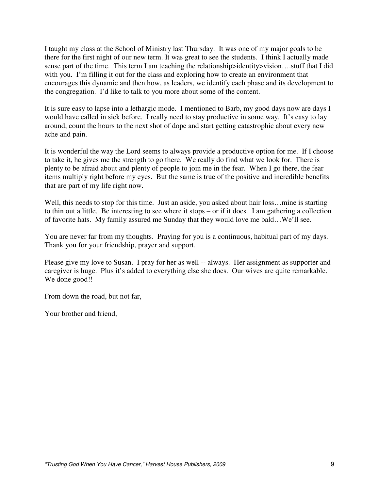I taught my class at the School of Ministry last Thursday. It was one of my major goals to be there for the first night of our new term. It was great to see the students. I think I actually made sense part of the time. This term I am teaching the relationship>identity>vision....stuff that I did with you. I'm filling it out for the class and exploring how to create an environment that encourages this dynamic and then how, as leaders, we identify each phase and its development to the congregation. I'd like to talk to you more about some of the content.

It is sure easy to lapse into a lethargic mode. I mentioned to Barb, my good days now are days I would have called in sick before. I really need to stay productive in some way. It's easy to lay around, count the hours to the next shot of dope and start getting catastrophic about every new ache and pain.

It is wonderful the way the Lord seems to always provide a productive option for me. If I choose to take it, he gives me the strength to go there. We really do find what we look for. There is plenty to be afraid about and plenty of people to join me in the fear. When I go there, the fear items multiply right before my eyes. But the same is true of the positive and incredible benefits that are part of my life right now.

Well, this needs to stop for this time. Just an aside, you asked about hair loss...mine is starting to thin out a little. Be interesting to see where it stops – or if it does. I am gathering a collection of favorite hats. My family assured me Sunday that they would love me bald…We'll see.

You are never far from my thoughts. Praying for you is a continuous, habitual part of my days. Thank you for your friendship, prayer and support.

Please give my love to Susan. I pray for her as well -- always. Her assignment as supporter and caregiver is huge. Plus it's added to everything else she does. Our wives are quite remarkable. We done good!!

From down the road, but not far,

Your brother and friend,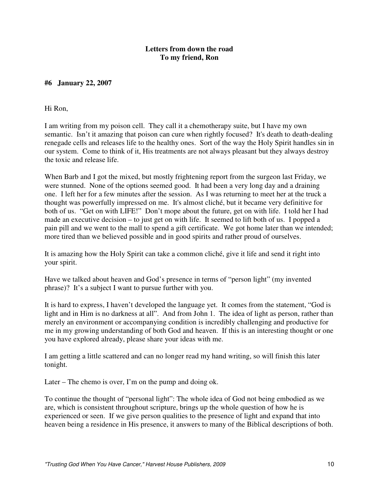# **#6 January 22, 2007**

#### Hi Ron,

I am writing from my poison cell. They call it a chemotherapy suite, but I have my own semantic. Isn't it amazing that poison can cure when rightly focused? It's death to death-dealing renegade cells and releases life to the healthy ones. Sort of the way the Holy Spirit handles sin in our system. Come to think of it, His treatments are not always pleasant but they always destroy the toxic and release life.

When Barb and I got the mixed, but mostly frightening report from the surgeon last Friday, we were stunned. None of the options seemed good. It had been a very long day and a draining one. I left her for a few minutes after the session. As I was returning to meet her at the truck a thought was powerfully impressed on me. It's almost cliché, but it became very definitive for both of us. "Get on with LIFE!" Don't mope about the future, get on with life. I told her I had made an executive decision – to just get on with life. It seemed to lift both of us. I popped a pain pill and we went to the mall to spend a gift certificate. We got home later than we intended; more tired than we believed possible and in good spirits and rather proud of ourselves.

It is amazing how the Holy Spirit can take a common cliché, give it life and send it right into your spirit.

Have we talked about heaven and God's presence in terms of "person light" (my invented phrase)? It's a subject I want to pursue further with you.

It is hard to express, I haven't developed the language yet. It comes from the statement, "God is light and in Him is no darkness at all". And from John 1. The idea of light as person, rather than merely an environment or accompanying condition is incredibly challenging and productive for me in my growing understanding of both God and heaven. If this is an interesting thought or one you have explored already, please share your ideas with me.

I am getting a little scattered and can no longer read my hand writing, so will finish this later tonight.

Later – The chemo is over, I'm on the pump and doing ok.

To continue the thought of "personal light": The whole idea of God not being embodied as we are, which is consistent throughout scripture, brings up the whole question of how he is experienced or seen. If we give person qualities to the presence of light and expand that into heaven being a residence in His presence, it answers to many of the Biblical descriptions of both.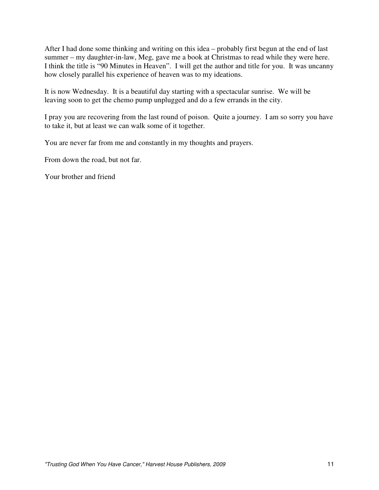After I had done some thinking and writing on this idea – probably first begun at the end of last summer – my daughter-in-law, Meg, gave me a book at Christmas to read while they were here. I think the title is "90 Minutes in Heaven". I will get the author and title for you. It was uncanny how closely parallel his experience of heaven was to my ideations.

It is now Wednesday. It is a beautiful day starting with a spectacular sunrise. We will be leaving soon to get the chemo pump unplugged and do a few errands in the city.

I pray you are recovering from the last round of poison. Quite a journey. I am so sorry you have to take it, but at least we can walk some of it together.

You are never far from me and constantly in my thoughts and prayers.

From down the road, but not far.

Your brother and friend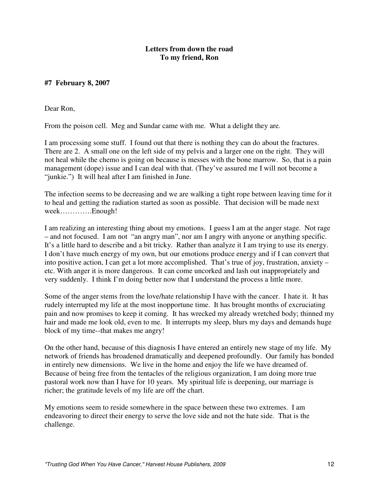# **#7 February 8, 2007**

Dear Ron,

From the poison cell. Meg and Sundar came with me. What a delight they are.

I am processing some stuff. I found out that there is nothing they can do about the fractures. There are 2. A small one on the left side of my pelvis and a larger one on the right. They will not heal while the chemo is going on because is messes with the bone marrow. So, that is a pain management (dope) issue and I can deal with that. (They've assured me I will not become a "junkie.") It will heal after I am finished in June.

The infection seems to be decreasing and we are walking a tight rope between leaving time for it to heal and getting the radiation started as soon as possible. That decision will be made next week………….Enough!

I am realizing an interesting thing about my emotions. I guess I am at the anger stage. Not rage – and not focused. I am not "an angry man", nor am I angry with anyone or anything specific. It's a little hard to describe and a bit tricky. Rather than analyze it I am trying to use its energy. I don't have much energy of my own, but our emotions produce energy and if I can convert that into positive action, I can get a lot more accomplished. That's true of joy, frustration, anxiety – etc. With anger it is more dangerous. It can come uncorked and lash out inappropriately and very suddenly. I think I'm doing better now that I understand the process a little more.

Some of the anger stems from the love/hate relationship I have with the cancer. I hate it. It has rudely interrupted my life at the most inopportune time. It has brought months of excruciating pain and now promises to keep it coming. It has wrecked my already wretched body; thinned my hair and made me look old, even to me. It interrupts my sleep, blurs my days and demands huge block of my time--that makes me angry!

On the other hand, because of this diagnosis I have entered an entirely new stage of my life. My network of friends has broadened dramatically and deepened profoundly. Our family has bonded in entirely new dimensions. We live in the home and enjoy the life we have dreamed of. Because of being free from the tentacles of the religious organization, I am doing more true pastoral work now than I have for 10 years. My spiritual life is deepening, our marriage is richer; the gratitude levels of my life are off the chart.

My emotions seem to reside somewhere in the space between these two extremes. I am endeavoring to direct their energy to serve the love side and not the hate side. That is the challenge.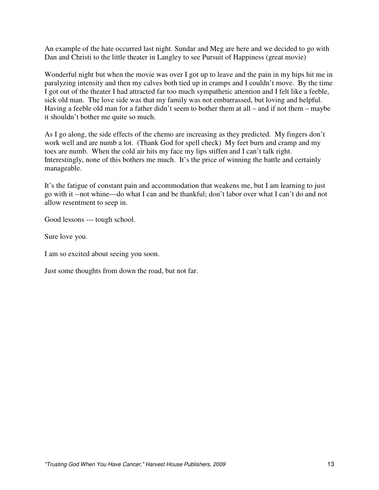An example of the hate occurred last night. Sundar and Meg are here and we decided to go with Dan and Christi to the little theater in Langley to see Pursuit of Happiness (great movie)

Wonderful night but when the movie was over I got up to leave and the pain in my hips hit me in paralyzing intensity and then my calves both tied up in cramps and I couldn't move. By the time I got out of the theater I had attracted far too much sympathetic attention and I felt like a feeble, sick old man. The love side was that my family was not embarrassed, but loving and helpful. Having a feeble old man for a father didn't seem to bother them at all – and if not them – maybe it shouldn't bother me quite so much.

As I go along, the side effects of the chemo are increasing as they predicted. My fingers don't work well and are numb a lot. (Thank God for spell check) My feet burn and cramp and my toes are numb. When the cold air hits my face my lips stiffen and I can't talk right. Interestingly, none of this bothers me much. It's the price of winning the battle and certainly manageable.

It's the fatigue of constant pain and accommodation that weakens me, but I am learning to just go with it --not whine—do what I can and be thankful; don't labor over what I can't do and not allow resentment to seep in.

Good lessons --- tough school.

Sure love you.

I am so excited about seeing you soon.

Just some thoughts from down the road, but not far.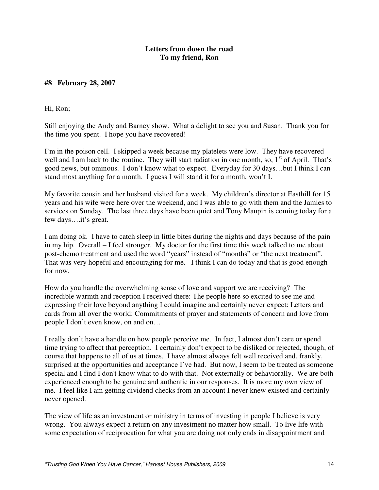# **#8 February 28, 2007**

Hi, Ron;

Still enjoying the Andy and Barney show. What a delight to see you and Susan. Thank you for the time you spent. I hope you have recovered!

I'm in the poison cell. I skipped a week because my platelets were low. They have recovered well and I am back to the routine. They will start radiation in one month, so,  $1<sup>st</sup>$  of April. That's good news, but ominous. I don't know what to expect. Everyday for 30 days…but I think I can stand most anything for a month. I guess I will stand it for a month, won't I.

My favorite cousin and her husband visited for a week. My children's director at Easthill for 15 years and his wife were here over the weekend, and I was able to go with them and the Jamies to services on Sunday. The last three days have been quiet and Tony Maupin is coming today for a few days….it's great.

I am doing ok. I have to catch sleep in little bites during the nights and days because of the pain in my hip. Overall – I feel stronger. My doctor for the first time this week talked to me about post-chemo treatment and used the word "years" instead of "months" or "the next treatment". That was very hopeful and encouraging for me. I think I can do today and that is good enough for now.

How do you handle the overwhelming sense of love and support we are receiving? The incredible warmth and reception I received there: The people here so excited to see me and expressing their love beyond anything I could imagine and certainly never expect: Letters and cards from all over the world: Commitments of prayer and statements of concern and love from people I don't even know, on and on…

I really don't have a handle on how people perceive me. In fact, I almost don't care or spend time trying to affect that perception. I certainly don't expect to be disliked or rejected, though, of course that happens to all of us at times. I have almost always felt well received and, frankly, surprised at the opportunities and acceptance I've had. But now, I seem to be treated as someone special and I find I don't know what to do with that. Not externally or behaviorally. We are both experienced enough to be genuine and authentic in our responses. It is more my own view of me. I feel like I am getting dividend checks from an account I never knew existed and certainly never opened.

The view of life as an investment or ministry in terms of investing in people I believe is very wrong. You always expect a return on any investment no matter how small. To live life with some expectation of reciprocation for what you are doing not only ends in disappointment and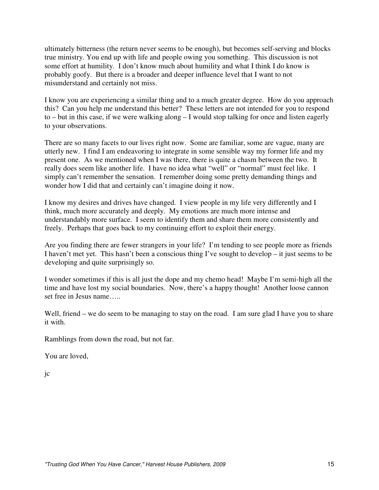ultimately bitterness (the return never seems to be enough), but becomes self-serving and blocks true ministry. You end up with life and people owing you something. This discussion is not some effort at humility. I don't know much about humility and what I think I do know is probably goofy. But there is a broader and deeper influence level that I want to not misunderstand and certainly not miss.

I know you are experiencing a similar thing and to a much greater degree. How do you approach this? Can you help me understand this better? These letters are not intended for you to respond to – but in this case, if we were walking along – I would stop talking for once and listen eagerly to your observations.

There are so many facets to our lives right now. Some are familiar, some are vague, many are utterly new. I find I am endeavoring to integrate in some sensible way my former life and my present one. As we mentioned when I was there, there is quite a chasm between the two. It really does seem like another life. I have no idea what "well" or "normal" must feel like. I simply can't remember the sensation. I remember doing some pretty demanding things and wonder how I did that and certainly can't imagine doing it now.

I know my desires and drives have changed. I view people in my life very differently and I think, much more accurately and deeply. My emotions are much more intense and understandably more surface. I seem to identify them and share them more consistently and freely. Perhaps that goes back to my continuing effort to exploit their energy.

Are you finding there are fewer strangers in your life? I'm tending to see people more as friends I haven't met yet. This hasn't been a conscious thing I've sought to develop – it just seems to be developing and quite surprisingly so.

I wonder sometimes if this is all just the dope and my chemo head! Maybe I'm semi-high all the time and have lost my social boundaries. Now, there's a happy thought! Another loose cannon set free in Jesus name…..

Well, friend – we do seem to be managing to stay on the road. I am sure glad I have you to share it with.

Ramblings from down the road, but not far.

You are loved,

jc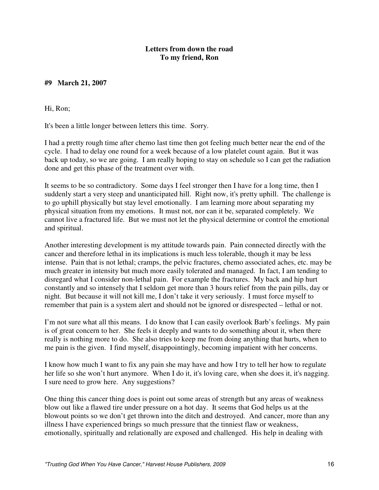# **#9 March 21, 2007**

Hi, Ron;

It's been a little longer between letters this time. Sorry.

I had a pretty rough time after chemo last time then got feeling much better near the end of the cycle. I had to delay one round for a week because of a low platelet count again. But it was back up today, so we are going. I am really hoping to stay on schedule so I can get the radiation done and get this phase of the treatment over with.

It seems to be so contradictory. Some days I feel stronger then I have for a long time, then I suddenly start a very steep and unanticipated hill. Right now, it's pretty uphill. The challenge is to go uphill physically but stay level emotionally. I am learning more about separating my physical situation from my emotions. It must not, nor can it be, separated completely. We cannot live a fractured life. But we must not let the physical determine or control the emotional and spiritual.

Another interesting development is my attitude towards pain. Pain connected directly with the cancer and therefore lethal in its implications is much less tolerable, though it may be less intense. Pain that is not lethal; cramps, the pelvic fractures, chemo associated aches, etc. may be much greater in intensity but much more easily tolerated and managed. In fact, I am tending to disregard what I consider non-lethal pain. For example the fractures. My back and hip hurt constantly and so intensely that I seldom get more than 3 hours relief from the pain pills, day or night. But because it will not kill me, I don't take it very seriously. I must force myself to remember that pain is a system alert and should not be ignored or disrespected – lethal or not.

I'm not sure what all this means. I do know that I can easily overlook Barb's feelings. My pain is of great concern to her. She feels it deeply and wants to do something about it, when there really is nothing more to do. She also tries to keep me from doing anything that hurts, when to me pain is the given. I find myself, disappointingly, becoming impatient with her concerns.

I know how much I want to fix any pain she may have and how I try to tell her how to regulate her life so she won't hurt anymore. When I do it, it's loving care, when she does it, it's nagging. I sure need to grow here. Any suggestions?

One thing this cancer thing does is point out some areas of strength but any areas of weakness blow out like a flawed tire under pressure on a hot day. It seems that God helps us at the blowout points so we don't get thrown into the ditch and destroyed. And cancer, more than any illness I have experienced brings so much pressure that the tinniest flaw or weakness, emotionally, spiritually and relationally are exposed and challenged. His help in dealing with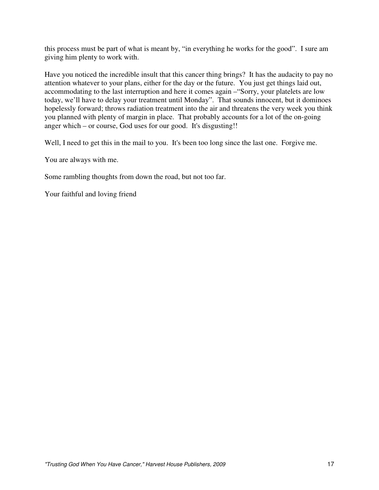this process must be part of what is meant by, "in everything he works for the good". I sure am giving him plenty to work with.

Have you noticed the incredible insult that this cancer thing brings? It has the audacity to pay no attention whatever to your plans, either for the day or the future. You just get things laid out, accommodating to the last interruption and here it comes again –"Sorry, your platelets are low today, we'll have to delay your treatment until Monday". That sounds innocent, but it dominoes hopelessly forward; throws radiation treatment into the air and threatens the very week you think you planned with plenty of margin in place. That probably accounts for a lot of the on-going anger which – or course, God uses for our good. It's disgusting!!

Well, I need to get this in the mail to you. It's been too long since the last one. Forgive me.

You are always with me.

Some rambling thoughts from down the road, but not too far.

Your faithful and loving friend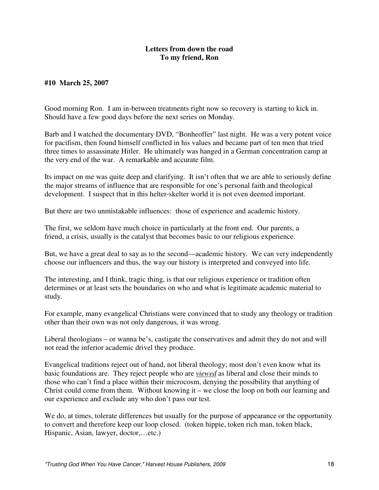# **#10 March 25, 2007**

Good morning Ron. I am in-between treatments right now so recovery is starting to kick in. Should have a few good days before the next series on Monday.

Barb and I watched the documentary DVD, "Bonheoffer" last night. He was a very potent voice for pacifism, then found himself conflicted in his values and became part of ten men that tried three times to assassinate Hitler. He ultimately was hanged in a German concentration camp at the very end of the war. A remarkable and accurate film.

Its impact on me was quite deep and clarifying. It isn't often that we are able to seriously define the major streams of influence that are responsible for one's personal faith and theological development. I suspect that in this helter-skelter world it is not even deemed important.

But there are two unmistakable influences: those of experience and academic history.

The first, we seldom have much choice in particularly at the front end. Our parents, a friend, a crisis, usually is the catalyst that becomes basic to our religious experience.

But, we have a great deal to say as to the second—academic history. We can very independently choose our influencers and thus, the way our history is interpreted and conveyed into life.

The interesting, and I think, tragic thing, is that our religious experience or tradition often determines or at least sets the boundaries on who and what is legitimate academic material to study.

For example, many evangelical Christians were convinced that to study any theology or tradition other than their own was not only dangerous, it was wrong.

Liberal theologians – or wanna be's, castigate the conservatives and admit they do not and will not read the inferior academic drivel they produce.

Evangelical traditions reject out of hand, not liberal theology; most don't even know what its basic foundations are. They reject people who are *viewed* as liberal and close their minds to those who can't find a place within their microcosm, denying the possibility that anything of Christ could come from them. Without knowing it – we close the loop on both our learning and our experience and exclude any who don't pass our test.

We do, at times, tolerate differences but usually for the purpose of appearance or the opportunity to convert and therefore keep our loop closed. (token hippie, token rich man, token black, Hispanic, Asian, lawyer, doctor,…etc.)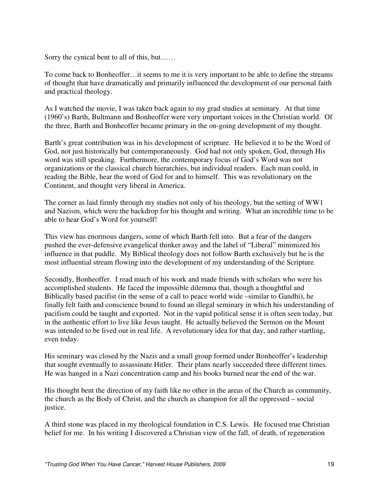Sorry the cynical bent to all of this, but……

To come back to Bonheoffer…it seems to me it is very important to be able to define the streams of thought that have dramatically and primarily influenced the development of our personal faith and practical theology.

As I watched the movie, I was taken back again to my grad studies at seminary. At that time (1960's) Barth, Bultmann and Bonheoffer were very important voices in the Christian world. Of the three, Barth and Bonheoffer became primary in the on-going development of my thought.

Barth's great contribution was in his development of scripture. He believed it to be the Word of God, not just historically but contemporaneously. God had not only spoken, God, through His word was still speaking. Furthermore, the contemporary focus of God's Word was not organizations or the classical church hierarchies, but individual readers. Each man could, in reading the Bible, hear the word of God for and to himself. This was revolutionary on the Continent, and thought very liberal in America.

The corner as laid firmly through my studies not only of his theology, but the setting of WW1 and Nazism, which were the backdrop for his thought and writing. What an incredible time to be able to hear God's Word for yourself!

This view has enormous dangers, some of which Barth fell into. But a fear of the dangers pushed the ever-defensive evangelical thinker away and the label of "Liberal" minimized his influence in that puddle. My Biblical theology does not follow Barth exclusively but he is the most influential stream flowing into the development of my understanding of the Scripture.

Secondly, Bonheoffer. I read much of his work and made friends with scholars who were his accomplished students. He faced the impossible dilemma that, though a thoughtful and Biblically based pacifist (in the sense of a call to peace world wide –similar to Gandhi), he finally felt faith and conscience bound to found an illegal seminary in which his understanding of pacifism could be taught and exported. Not in the vapid political sense it is often seen today, but in the authentic effort to live like Jesus taught. He actually believed the Sermon on the Mount was intended to be lived out in real life. A revolutionary idea for that day, and rather startling, even today.

His seminary was closed by the Nazis and a small group formed under Bonheoffer's leadership that sought eventually to assassinate Hitler. Their plans nearly succeeded three different times. He was hanged in a Nazi concentration camp and his books burned near the end of the war.

His thought bent the direction of my faith like no other in the areas of the Church as community, the church as the Body of Christ, and the church as champion for all the oppressed – social justice.

A third stone was placed in my theological foundation in C.S. Lewis. He focused true Christian belief for me. In his writing I discovered a Christian view of the fall, of death, of regeneration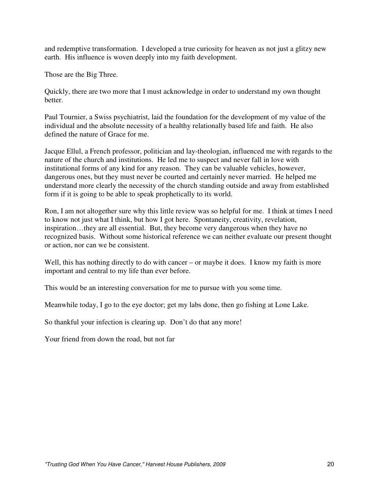and redemptive transformation. I developed a true curiosity for heaven as not just a glitzy new earth. His influence is woven deeply into my faith development.

Those are the Big Three.

Quickly, there are two more that I must acknowledge in order to understand my own thought better.

Paul Tournier, a Swiss psychiatrist, laid the foundation for the development of my value of the individual and the absolute necessity of a healthy relationally based life and faith. He also defined the nature of Grace for me.

Jacque Ellul, a French professor, politician and lay-theologian, influenced me with regards to the nature of the church and institutions. He led me to suspect and never fall in love with institutional forms of any kind for any reason. They can be valuable vehicles, however, dangerous ones, but they must never be courted and certainly never married. He helped me understand more clearly the necessity of the church standing outside and away from established form if it is going to be able to speak prophetically to its world.

Ron, I am not altogether sure why this little review was so helpful for me. I think at times I need to know not just what I think, but how I got here. Spontaneity, creativity, revelation, inspiration…they are all essential. But, they become very dangerous when they have no recognized basis. Without some historical reference we can neither evaluate our present thought or action, nor can we be consistent.

Well, this has nothing directly to do with cancer – or maybe it does. I know my faith is more important and central to my life than ever before.

This would be an interesting conversation for me to pursue with you some time.

Meanwhile today, I go to the eye doctor; get my labs done, then go fishing at Lone Lake.

So thankful your infection is clearing up. Don't do that any more!

Your friend from down the road, but not far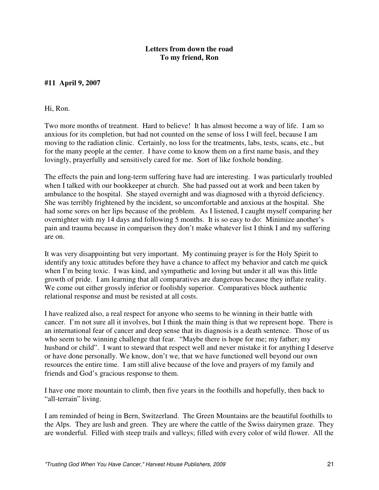# **#11 April 9, 2007**

#### Hi, Ron.

Two more months of treatment. Hard to believe! It has almost become a way of life. I am so anxious for its completion, but had not counted on the sense of loss I will feel, because I am moving to the radiation clinic. Certainly, no loss for the treatments, labs, tests, scans, etc., but for the many people at the center. I have come to know them on a first name basis, and they lovingly, prayerfully and sensitively cared for me. Sort of like foxhole bonding.

The effects the pain and long-term suffering have had are interesting. I was particularly troubled when I talked with our bookkeeper at church. She had passed out at work and been taken by ambulance to the hospital. She stayed overnight and was diagnosed with a thyroid deficiency. She was terribly frightened by the incident, so uncomfortable and anxious at the hospital. She had some sores on her lips because of the problem. As I listened, I caught myself comparing her overnighter with my 14 days and following 5 months. It is so easy to do: Minimize another's pain and trauma because in comparison they don't make whatever list I think I and my suffering are on.

It was very disappointing but very important. My continuing prayer is for the Holy Spirit to identify any toxic attitudes before they have a chance to affect my behavior and catch me quick when I'm being toxic. I was kind, and sympathetic and loving but under it all was this little growth of pride. I am learning that all comparatives are dangerous because they inflate reality. We come out either grossly inferior or foolishly superior. Comparatives block authentic relational response and must be resisted at all costs.

I have realized also, a real respect for anyone who seems to be winning in their battle with cancer. I'm not sure all it involves, but I think the main thing is that we represent hope. There is an international fear of cancer and deep sense that its diagnosis is a death sentence. Those of us who seem to be winning challenge that fear. "Maybe there is hope for me; my father; my husband or child". I want to steward that respect well and never mistake it for anything I deserve or have done personally. We know, don't we, that we have functioned well beyond our own resources the entire time. I am still alive because of the love and prayers of my family and friends and God's gracious response to them.

I have one more mountain to climb, then five years in the foothills and hopefully, then back to "all-terrain" living.

I am reminded of being in Bern, Switzerland. The Green Mountains are the beautiful foothills to the Alps. They are lush and green. They are where the cattle of the Swiss dairymen graze. They are wonderful. Filled with steep trails and valleys; filled with every color of wild flower. All the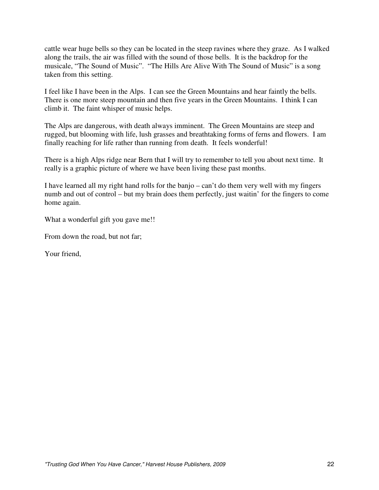cattle wear huge bells so they can be located in the steep ravines where they graze. As I walked along the trails, the air was filled with the sound of those bells. It is the backdrop for the musicale, "The Sound of Music". "The Hills Are Alive With The Sound of Music" is a song taken from this setting.

I feel like I have been in the Alps. I can see the Green Mountains and hear faintly the bells. There is one more steep mountain and then five years in the Green Mountains. I think I can climb it. The faint whisper of music helps.

The Alps are dangerous, with death always imminent. The Green Mountains are steep and rugged, but blooming with life, lush grasses and breathtaking forms of ferns and flowers. I am finally reaching for life rather than running from death. It feels wonderful!

There is a high Alps ridge near Bern that I will try to remember to tell you about next time. It really is a graphic picture of where we have been living these past months.

I have learned all my right hand rolls for the banjo – can't do them very well with my fingers numb and out of control – but my brain does them perfectly, just waitin' for the fingers to come home again.

What a wonderful gift you gave me!!

From down the road, but not far;

Your friend,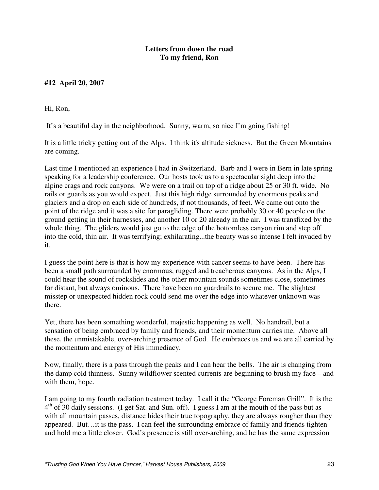# **#12 April 20, 2007**

Hi, Ron,

It's a beautiful day in the neighborhood. Sunny, warm, so nice I'm going fishing!

It is a little tricky getting out of the Alps. I think it's altitude sickness. But the Green Mountains are coming.

Last time I mentioned an experience I had in Switzerland. Barb and I were in Bern in late spring speaking for a leadership conference. Our hosts took us to a spectacular sight deep into the alpine crags and rock canyons. We were on a trail on top of a ridge about 25 or 30 ft. wide. No rails or guards as you would expect. Just this high ridge surrounded by enormous peaks and glaciers and a drop on each side of hundreds, if not thousands, of feet. We came out onto the point of the ridge and it was a site for paragliding. There were probably 30 or 40 people on the ground getting in their harnesses, and another 10 or 20 already in the air. I was transfixed by the whole thing. The gliders would just go to the edge of the bottomless canyon rim and step off into the cold, thin air. It was terrifying; exhilarating...the beauty was so intense I felt invaded by it.

I guess the point here is that is how my experience with cancer seems to have been. There has been a small path surrounded by enormous, rugged and treacherous canyons. As in the Alps, I could hear the sound of rockslides and the other mountain sounds sometimes close, sometimes far distant, but always ominous. There have been no guardrails to secure me. The slightest misstep or unexpected hidden rock could send me over the edge into whatever unknown was there.

Yet, there has been something wonderful, majestic happening as well. No handrail, but a sensation of being embraced by family and friends, and their momentum carries me. Above all these, the unmistakable, over-arching presence of God. He embraces us and we are all carried by the momentum and energy of His immediacy.

Now, finally, there is a pass through the peaks and I can hear the bells. The air is changing from the damp cold thinness. Sunny wildflower scented currents are beginning to brush my face – and with them, hope.

I am going to my fourth radiation treatment today. I call it the "George Foreman Grill". It is the 4<sup>th</sup> of 30 daily sessions. (I get Sat. and Sun. off). I guess I am at the mouth of the pass but as with all mountain passes, distance hides their true topography, they are always rougher than they appeared. But…it is the pass. I can feel the surrounding embrace of family and friends tighten and hold me a little closer. God's presence is still over-arching, and he has the same expression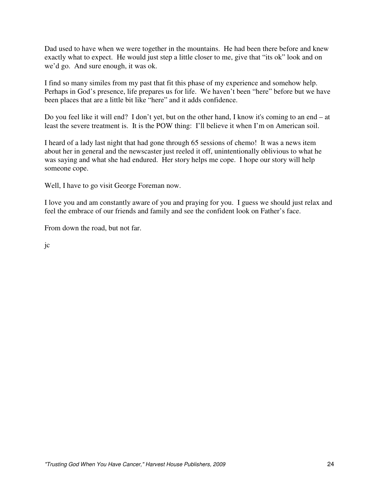Dad used to have when we were together in the mountains. He had been there before and knew exactly what to expect. He would just step a little closer to me, give that "its ok" look and on we'd go. And sure enough, it was ok.

I find so many similes from my past that fit this phase of my experience and somehow help. Perhaps in God's presence, life prepares us for life. We haven't been "here" before but we have been places that are a little bit like "here" and it adds confidence.

Do you feel like it will end? I don't yet, but on the other hand, I know it's coming to an end – at least the severe treatment is. It is the POW thing: I'll believe it when I'm on American soil.

I heard of a lady last night that had gone through 65 sessions of chemo! It was a news item about her in general and the newscaster just reeled it off, unintentionally oblivious to what he was saying and what she had endured. Her story helps me cope. I hope our story will help someone cope.

Well, I have to go visit George Foreman now.

I love you and am constantly aware of you and praying for you. I guess we should just relax and feel the embrace of our friends and family and see the confident look on Father's face.

From down the road, but not far.

jc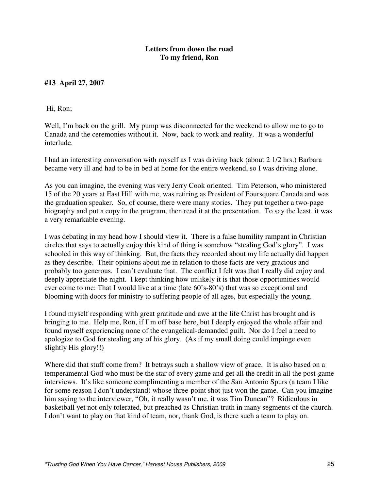# **#13 April 27, 2007**

Hi, Ron;

Well, I'm back on the grill. My pump was disconnected for the weekend to allow me to go to Canada and the ceremonies without it. Now, back to work and reality. It was a wonderful interlude.

I had an interesting conversation with myself as I was driving back (about 2 1/2 hrs.) Barbara became very ill and had to be in bed at home for the entire weekend, so I was driving alone.

As you can imagine, the evening was very Jerry Cook oriented. Tim Peterson, who ministered 15 of the 20 years at East Hill with me, was retiring as President of Foursquare Canada and was the graduation speaker. So, of course, there were many stories. They put together a two-page biography and put a copy in the program, then read it at the presentation. To say the least, it was a very remarkable evening.

I was debating in my head how I should view it. There is a false humility rampant in Christian circles that says to actually enjoy this kind of thing is somehow "stealing God's glory". I was schooled in this way of thinking. But, the facts they recorded about my life actually did happen as they describe. Their opinions about me in relation to those facts are very gracious and probably too generous. I can't evaluate that. The conflict I felt was that I really did enjoy and deeply appreciate the night. I kept thinking how unlikely it is that those opportunities would ever come to me: That I would live at a time (late 60's-80's) that was so exceptional and blooming with doors for ministry to suffering people of all ages, but especially the young.

I found myself responding with great gratitude and awe at the life Christ has brought and is bringing to me. Help me, Ron, if I'm off base here, but I deeply enjoyed the whole affair and found myself experiencing none of the evangelical-demanded guilt. Nor do I feel a need to apologize to God for stealing any of his glory. (As if my small doing could impinge even slightly His glory!!)

Where did that stuff come from? It betrays such a shallow view of grace. It is also based on a temperamental God who must be the star of every game and get all the credit in all the post-game interviews. It's like someone complimenting a member of the San Antonio Spurs (a team I like for some reason I don't understand) whose three-point shot just won the game. Can you imagine him saying to the interviewer, "Oh, it really wasn't me, it was Tim Duncan"? Ridiculous in basketball yet not only tolerated, but preached as Christian truth in many segments of the church. I don't want to play on that kind of team, nor, thank God, is there such a team to play on.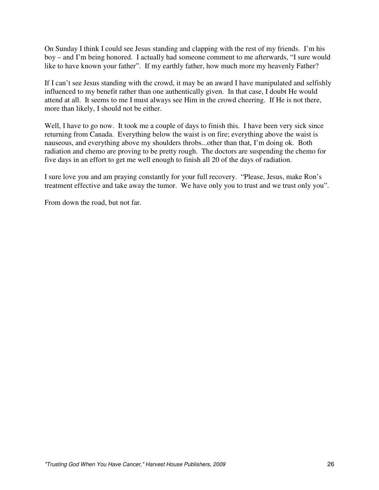On Sunday I think I could see Jesus standing and clapping with the rest of my friends. I'm his boy – and I'm being honored. I actually had someone comment to me afterwards, "I sure would like to have known your father". If my earthly father, how much more my heavenly Father?

If I can't see Jesus standing with the crowd, it may be an award I have manipulated and selfishly influenced to my benefit rather than one authentically given. In that case, I doubt He would attend at all. It seems to me I must always see Him in the crowd cheering. If He is not there, more than likely, I should not be either.

Well, I have to go now. It took me a couple of days to finish this. I have been very sick since returning from Canada. Everything below the waist is on fire; everything above the waist is nauseous, and everything above my shoulders throbs...other than that, I'm doing ok. Both radiation and chemo are proving to be pretty rough. The doctors are suspending the chemo for five days in an effort to get me well enough to finish all 20 of the days of radiation.

I sure love you and am praying constantly for your full recovery. "Please, Jesus, make Ron's treatment effective and take away the tumor. We have only you to trust and we trust only you".

From down the road, but not far.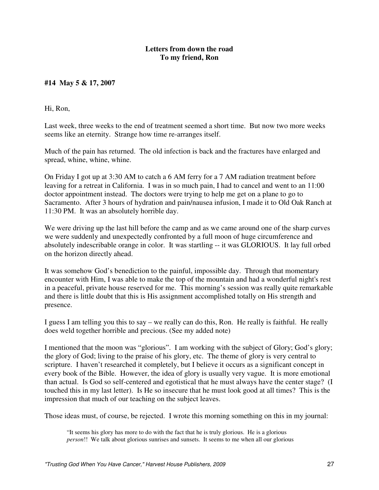# **#14 May 5 & 17, 2007**

Hi, Ron,

Last week, three weeks to the end of treatment seemed a short time. But now two more weeks seems like an eternity. Strange how time re-arranges itself.

Much of the pain has returned. The old infection is back and the fractures have enlarged and spread, whine, whine, whine.

On Friday I got up at 3:30 AM to catch a 6 AM ferry for a 7 AM radiation treatment before leaving for a retreat in California. I was in so much pain, I had to cancel and went to an 11:00 doctor appointment instead. The doctors were trying to help me get on a plane to go to Sacramento. After 3 hours of hydration and pain/nausea infusion, I made it to Old Oak Ranch at 11:30 PM. It was an absolutely horrible day.

We were driving up the last hill before the camp and as we came around one of the sharp curves we were suddenly and unexpectedly confronted by a full moon of huge circumference and absolutely indescribable orange in color. It was startling -- it was GLORIOUS. It lay full orbed on the horizon directly ahead.

It was somehow God's benediction to the painful, impossible day. Through that momentary encounter with Him, I was able to make the top of the mountain and had a wonderful night's rest in a peaceful, private house reserved for me. This morning's session was really quite remarkable and there is little doubt that this is His assignment accomplished totally on His strength and presence.

I guess I am telling you this to say – we really can do this, Ron. He really is faithful. He really does weld together horrible and precious. (See my added note)

I mentioned that the moon was "glorious". I am working with the subject of Glory; God's glory; the glory of God; living to the praise of his glory, etc. The theme of glory is very central to scripture. I haven't researched it completely, but I believe it occurs as a significant concept in every book of the Bible. However, the idea of glory is usually very vague. It is more emotional than actual. Is God so self-centered and egotistical that he must always have the center stage? (I touched this in my last letter). Is He so insecure that he must look good at all times? This is the impression that much of our teaching on the subject leaves.

Those ideas must, of course, be rejected. I wrote this morning something on this in my journal:

<sup>&</sup>quot;It seems his glory has more to do with the fact that he is truly glorious. He is a glorious *person*!! We talk about glorious sunrises and sunsets. It seems to me when all our glorious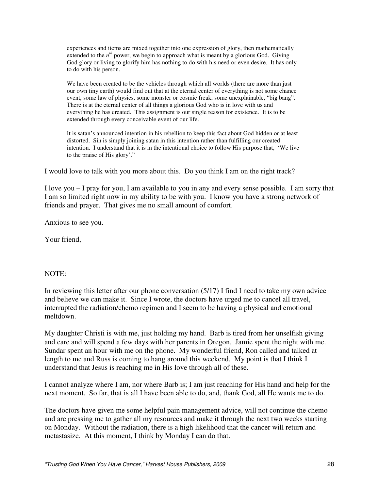experiences and items are mixed together into one expression of glory, then mathematically extended to the  $n^{th}$  power, we begin to approach what is meant by a glorious God. Giving God glory or living to glorify him has nothing to do with his need or even desire. It has only to do with his person.

We have been created to be the vehicles through which all worlds (there are more than just our own tiny earth) would find out that at the eternal center of everything is not some chance event, some law of physics, some monster or cosmic freak, some unexplainable, "big bang". There is at the eternal center of all things a glorious God who is in love with us and everything he has created. This assignment is our single reason for existence. It is to be extended through every conceivable event of our life.

It is satan's announced intention in his rebellion to keep this fact about God hidden or at least distorted. Sin is simply joining satan in this intention rather than fulfilling our created intention. I understand that it is in the intentional choice to follow His purpose that, 'We live to the praise of His glory'."

I would love to talk with you more about this. Do you think I am on the right track?

I love you – I pray for you, I am available to you in any and every sense possible. I am sorry that I am so limited right now in my ability to be with you. I know you have a strong network of friends and prayer. That gives me no small amount of comfort.

Anxious to see you.

Your friend,

#### NOTE:

In reviewing this letter after our phone conversation (5/17) I find I need to take my own advice and believe we can make it. Since I wrote, the doctors have urged me to cancel all travel, interrupted the radiation/chemo regimen and I seem to be having a physical and emotional meltdown.

My daughter Christi is with me, just holding my hand. Barb is tired from her unselfish giving and care and will spend a few days with her parents in Oregon. Jamie spent the night with me. Sundar spent an hour with me on the phone. My wonderful friend, Ron called and talked at length to me and Russ is coming to hang around this weekend. My point is that I think I understand that Jesus is reaching me in His love through all of these.

I cannot analyze where I am, nor where Barb is; I am just reaching for His hand and help for the next moment. So far, that is all I have been able to do, and, thank God, all He wants me to do.

The doctors have given me some helpful pain management advice, will not continue the chemo and are pressing me to gather all my resources and make it through the next two weeks starting on Monday. Without the radiation, there is a high likelihood that the cancer will return and metastasize. At this moment, I think by Monday I can do that.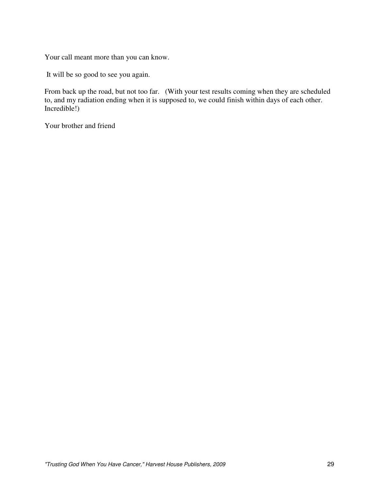Your call meant more than you can know.

It will be so good to see you again.

From back up the road, but not too far. (With your test results coming when they are scheduled to, and my radiation ending when it is supposed to, we could finish within days of each other. Incredible!)

Your brother and friend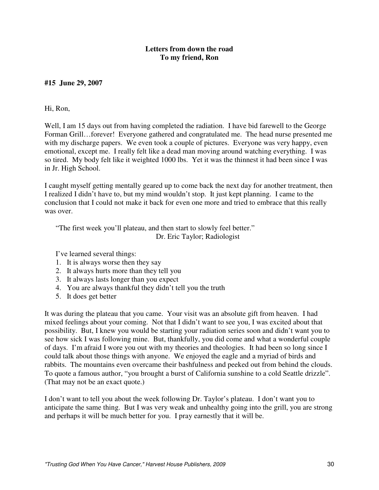# **#15 June 29, 2007**

#### Hi, Ron,

Well, I am 15 days out from having completed the radiation. I have bid farewell to the George Forman Grill…forever! Everyone gathered and congratulated me. The head nurse presented me with my discharge papers. We even took a couple of pictures. Everyone was very happy, even emotional, except me. I really felt like a dead man moving around watching everything. I was so tired. My body felt like it weighted 1000 lbs. Yet it was the thinnest it had been since I was in Jr. High School.

I caught myself getting mentally geared up to come back the next day for another treatment, then I realized I didn't have to, but my mind wouldn't stop. It just kept planning. I came to the conclusion that I could not make it back for even one more and tried to embrace that this really was over.

"The first week you'll plateau, and then start to slowly feel better." Dr. Eric Taylor; Radiologist

I've learned several things:

- 1. It is always worse then they say
- 2. It always hurts more than they tell you
- 3. It always lasts longer than you expect
- 4. You are always thankful they didn't tell you the truth
- 5. It does get better

It was during the plateau that you came. Your visit was an absolute gift from heaven. I had mixed feelings about your coming. Not that I didn't want to see you, I was excited about that possibility. But, I knew you would be starting your radiation series soon and didn't want you to see how sick I was following mine. But, thankfully, you did come and what a wonderful couple of days. I'm afraid I wore you out with my theories and theologies. It had been so long since I could talk about those things with anyone. We enjoyed the eagle and a myriad of birds and rabbits. The mountains even overcame their bashfulness and peeked out from behind the clouds. To quote a famous author, "you brought a burst of California sunshine to a cold Seattle drizzle". (That may not be an exact quote.)

I don't want to tell you about the week following Dr. Taylor's plateau. I don't want you to anticipate the same thing. But I was very weak and unhealthy going into the grill, you are strong and perhaps it will be much better for you. I pray earnestly that it will be.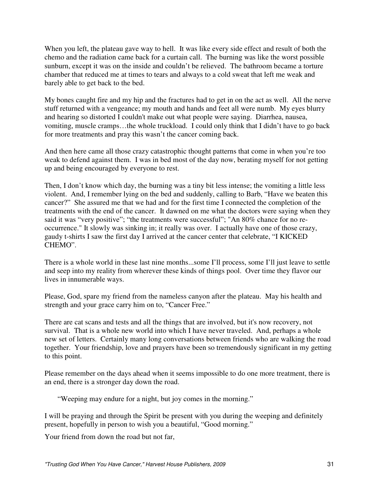When you left, the plateau gave way to hell. It was like every side effect and result of both the chemo and the radiation came back for a curtain call. The burning was like the worst possible sunburn, except it was on the inside and couldn't be relieved. The bathroom became a torture chamber that reduced me at times to tears and always to a cold sweat that left me weak and barely able to get back to the bed.

My bones caught fire and my hip and the fractures had to get in on the act as well. All the nerve stuff returned with a vengeance; my mouth and hands and feet all were numb. My eyes blurry and hearing so distorted I couldn't make out what people were saying. Diarrhea, nausea, vomiting, muscle cramps…the whole truckload. I could only think that I didn't have to go back for more treatments and pray this wasn't the cancer coming back.

And then here came all those crazy catastrophic thought patterns that come in when you're too weak to defend against them. I was in bed most of the day now, berating myself for not getting up and being encouraged by everyone to rest.

Then, I don't know which day, the burning was a tiny bit less intense; the vomiting a little less violent. And, I remember lying on the bed and suddenly, calling to Barb, "Have we beaten this cancer?" She assured me that we had and for the first time I connected the completion of the treatments with the end of the cancer. It dawned on me what the doctors were saying when they said it was "very positive"; "the treatments were successful"; "An 80% chance for no reoccurrence." It slowly was sinking in; it really was over. I actually have one of those crazy, gaudy t-shirts I saw the first day I arrived at the cancer center that celebrate, "I KICKED CHEMO".

There is a whole world in these last nine months...some I'll process, some I'll just leave to settle and seep into my reality from wherever these kinds of things pool. Over time they flavor our lives in innumerable ways.

Please, God, spare my friend from the nameless canyon after the plateau. May his health and strength and your grace carry him on to, "Cancer Free."

There are cat scans and tests and all the things that are involved, but it's now recovery, not survival. That is a whole new world into which I have never traveled. And, perhaps a whole new set of letters. Certainly many long conversations between friends who are walking the road together. Your friendship, love and prayers have been so tremendously significant in my getting to this point.

Please remember on the days ahead when it seems impossible to do one more treatment, there is an end, there is a stronger day down the road.

"Weeping may endure for a night, but joy comes in the morning."

I will be praying and through the Spirit be present with you during the weeping and definitely present, hopefully in person to wish you a beautiful, "Good morning."

Your friend from down the road but not far,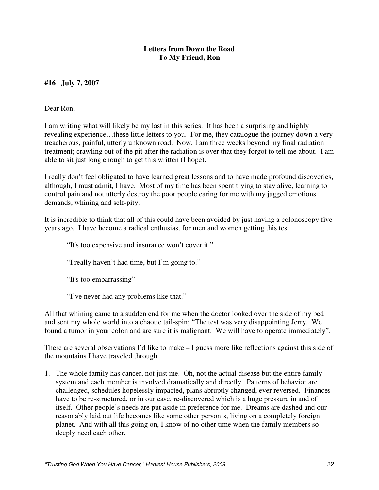# **#16 July 7, 2007**

Dear Ron,

I am writing what will likely be my last in this series. It has been a surprising and highly revealing experience…these little letters to you. For me, they catalogue the journey down a very treacherous, painful, utterly unknown road. Now, I am three weeks beyond my final radiation treatment; crawling out of the pit after the radiation is over that they forgot to tell me about. I am able to sit just long enough to get this written (I hope).

I really don't feel obligated to have learned great lessons and to have made profound discoveries, although, I must admit, I have. Most of my time has been spent trying to stay alive, learning to control pain and not utterly destroy the poor people caring for me with my jagged emotions demands, whining and self-pity.

It is incredible to think that all of this could have been avoided by just having a colonoscopy five years ago. I have become a radical enthusiast for men and women getting this test.

"It's too expensive and insurance won't cover it."

"I really haven't had time, but I'm going to."

"It's too embarrassing"

"I've never had any problems like that."

All that whining came to a sudden end for me when the doctor looked over the side of my bed and sent my whole world into a chaotic tail-spin; "The test was very disappointing Jerry. We found a tumor in your colon and are sure it is malignant. We will have to operate immediately".

There are several observations I'd like to make – I guess more like reflections against this side of the mountains I have traveled through.

1. The whole family has cancer, not just me. Oh, not the actual disease but the entire family system and each member is involved dramatically and directly. Patterns of behavior are challenged, schedules hopelessly impacted, plans abruptly changed, ever reversed. Finances have to be re-structured, or in our case, re-discovered which is a huge pressure in and of itself. Other people's needs are put aside in preference for me. Dreams are dashed and our reasonably laid out life becomes like some other person's, living on a completely foreign planet. And with all this going on, I know of no other time when the family members so deeply need each other.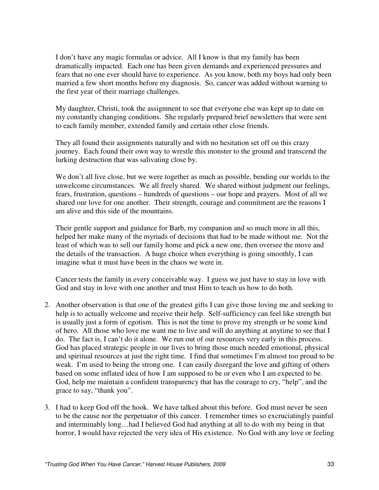I don't have any magic formulas or advice. All I know is that my family has been dramatically impacted. Each one has been given demands and experienced pressures and fears that no one ever should have to experience. As you know, both my boys had only been married a few short months before my diagnosis. So, cancer was added without warning to the first year of their marriage challenges.

My daughter, Christi, took the assignment to see that everyone else was kept up to date on my constantly changing conditions. She regularly prepared brief newsletters that were sent to each family member, extended family and certain other close friends.

They all found their assignments naturally and with no hesitation set off on this crazy journey. Each found their own way to wrestle this monster to the ground and transcend the lurking destruction that was salivating close by.

We don't all live close, but we were together as much as possible, bending our worlds to the unwelcome circumstances. We all freely shared. We shared without judgment our feelings, fears, frustration, questions – hundreds of questions – our hope and prayers. Most of all we shared our love for one another. Their strength, courage and commitment are the reasons I am alive and this side of the mountains.

Their gentle support and guidance for Barb, my companion and so much more in all this, helped her make many of the myriads of decisions that had to be made without me. Not the least of which was to sell our family home and pick a new one, then oversee the move and the details of the transaction. A huge choice when everything is going smoothly, I can imagine what it must have been in the chaos we were in.

Cancer tests the family in every conceivable way. I guess we just have to stay in love with God and stay in love with one another and trust Him to teach us how to do both.

- 2. Another observation is that one of the greatest gifts I can give those loving me and seeking to help is to actually welcome and receive their help. Self-sufficiency can feel like strength but is usually just a form of egotism. This is not the time to prove my strength or be some kind of hero. All those who love me want me to live and will do anything at anytime to see that I do. The fact is, I can't do it alone. We run out of our resources very early in this process. God has placed strategic people in our lives to bring those much needed emotional, physical and spiritual resources at just the right time. I find that sometimes I'm almost too proud to be weak. I'm used to being the strong one. I can easily disregard the love and gifting of others based on some inflated idea of how I am supposed to be or even who I am expected to be. God, help me maintain a confident transparency that has the courage to cry, "help", and the grace to say, "thank you".
- 3. I had to keep God off the hook. We have talked about this before. God must never be seen to be the cause nor the perpetuator of this cancer. I remember times so excruciatingly painful and interminably long…had I believed God had anything at all to do with my being in that horror, I would have rejected the very idea of His existence. No God with any love or feeling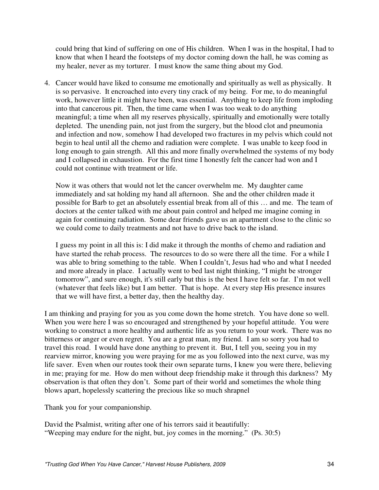could bring that kind of suffering on one of His children. When I was in the hospital, I had to know that when I heard the footsteps of my doctor coming down the hall, he was coming as my healer, never as my torturer. I must know the same thing about my God.

4. Cancer would have liked to consume me emotionally and spiritually as well as physically. It is so pervasive. It encroached into every tiny crack of my being. For me, to do meaningful work, however little it might have been, was essential. Anything to keep life from imploding into that cancerous pit. Then, the time came when I was too weak to do anything meaningful; a time when all my reserves physically, spiritually and emotionally were totally depleted. The unending pain, not just from the surgery, but the blood clot and pneumonia and infection and now, somehow I had developed two fractures in my pelvis which could not begin to heal until all the chemo and radiation were complete. I was unable to keep food in long enough to gain strength. All this and more finally overwhelmed the systems of my body and I collapsed in exhaustion. For the first time I honestly felt the cancer had won and I could not continue with treatment or life.

Now it was others that would not let the cancer overwhelm me. My daughter came immediately and sat holding my hand all afternoon. She and the other children made it possible for Barb to get an absolutely essential break from all of this … and me. The team of doctors at the center talked with me about pain control and helped me imagine coming in again for continuing radiation. Some dear friends gave us an apartment close to the clinic so we could come to daily treatments and not have to drive back to the island.

I guess my point in all this is: I did make it through the months of chemo and radiation and have started the rehab process. The resources to do so were there all the time. For a while I was able to bring something to the table. When I couldn't, Jesus had who and what I needed and more already in place. I actually went to bed last night thinking, "I might be stronger tomorrow", and sure enough, it's still early but this is the best I have felt so far. I'm not well (whatever that feels like) but I am better. That is hope. At every step His presence insures that we will have first, a better day, then the healthy day.

I am thinking and praying for you as you come down the home stretch. You have done so well. When you were here I was so encouraged and strengthened by your hopeful attitude. You were working to construct a more healthy and authentic life as you return to your work. There was no bitterness or anger or even regret. You are a great man, my friend. I am so sorry you had to travel this road. I would have done anything to prevent it. But, I tell you, seeing you in my rearview mirror, knowing you were praying for me as you followed into the next curve, was my life saver. Even when our routes took their own separate turns, I knew you were there, believing in me; praying for me. How do men without deep friendship make it through this darkness? My observation is that often they don't. Some part of their world and sometimes the whole thing blows apart, hopelessly scattering the precious like so much shrapnel

Thank you for your companionship.

David the Psalmist, writing after one of his terrors said it beautifully: "Weeping may endure for the night, but, joy comes in the morning." (Ps. 30:5)